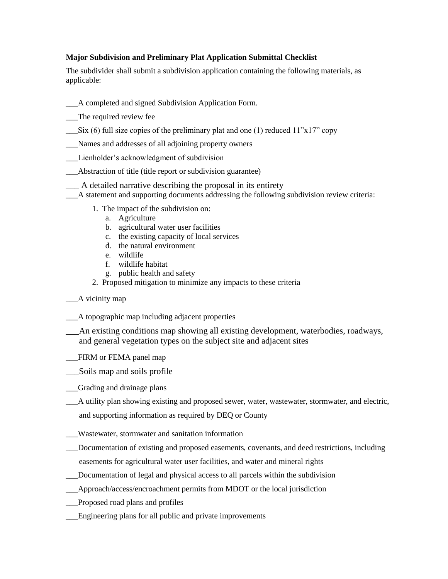## **Major Subdivision and Preliminary Plat Application Submittal Checklist**

The subdivider shall submit a subdivision application containing the following materials, as applicable:

- \_\_\_A completed and signed Subdivision Application Form.
- \_\_\_The required review fee
- Six (6) full size copies of the preliminary plat and one (1) reduced  $11"x17"$  copy
- \_\_\_Names and addresses of all adjoining property owners
- \_\_\_Lienholder's acknowledgment of subdivision
- \_\_\_Abstraction of title (title report or subdivision guarantee)
- \_\_\_ A detailed narrative describing the proposal in its entirety
- \_\_\_A statement and supporting documents addressing the following subdivision review criteria:
	- 1. The impact of the subdivision on:
		- a. Agriculture
		- b. agricultural water user facilities
		- c. the existing capacity of local services
		- d. the natural environment
		- e. wildlife
		- f. wildlife habitat
		- g. public health and safety
	- 2. Proposed mitigation to minimize any impacts to these criteria
- \_\_\_A vicinity map
- \_\_\_A topographic map including adjacent properties
- \_\_\_An existing conditions map showing all existing development, waterbodies, roadways, and general vegetation types on the subject site and adjacent sites
- \_\_\_FIRM or FEMA panel map
- \_\_\_Soils map and soils profile
- \_\_\_Grading and drainage plans
- \_\_\_A utility plan showing existing and proposed sewer, water, wastewater, stormwater, and electric,
- and supporting information as required by DEQ or County
- \_\_\_Wastewater, stormwater and sanitation information
- \_\_\_Documentation of existing and proposed easements, covenants, and deed restrictions, including easements for agricultural water user facilities, and water and mineral rights
- \_\_\_Documentation of legal and physical access to all parcels within the subdivision
- \_\_\_Approach/access/encroachment permits from MDOT or the local jurisdiction
- \_\_\_Proposed road plans and profiles
- Engineering plans for all public and private improvements